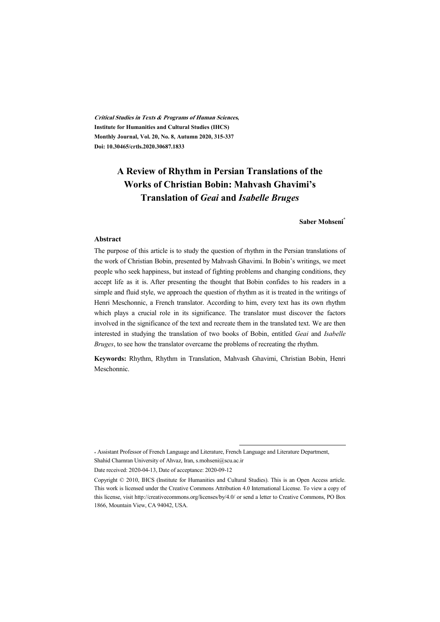**Critical Studies in Texts & Programs of Human Sciences, Institute for Humanities and Cultural Studies (IHCS) Monthly Journal, Vol. 20, No. 8, Autumn 2020, 315-337 Doi: 10.30465/crtls.2020.30687.1833** 

# **A Review of Rhythm in Persian Translations of the Works of Christian Bobin: Mahvash Ghavimi's Translation of** *Geai* **and** *Isabelle Bruges*

#### **Saber Mohseni\***

#### **Abstract**

The purpose of this article is to study the question of rhythm in the Persian translations of the work of Christian Bobin, presented by Mahvash Ghavimi. In Bobin's writings, we meet people who seek happiness, but instead of fighting problems and changing conditions, they accept life as it is. After presenting the thought that Bobin confides to his readers in a simple and fluid style, we approach the question of rhythm as it is treated in the writings of Henri Meschonnic, a French translator. According to him, every text has its own rhythm which plays a crucial role in its significance. The translator must discover the factors involved in the significance of the text and recreate them in the translated text. We are then interested in studying the translation of two books of Bobin, entitled *Geai* and *Isabelle Bruges*, to see how the translator overcame the problems of recreating the rhythm.

**Keywords:** Rhythm, Rhythm in Translation, Mahvash Ghavimi, Christian Bobin, Henri Meschonnic.

\* Assistant Professor of French Language and Literature, French Language and Literature Department, Shahid Chamran University of Ahvaz, Iran, s.mohseni@scu.ac.ir

Date received: 2020-04-13, Date of acceptance: 2020-09-12

Copyright © 2010, IHCS (Institute for Humanities and Cultural Studies). This is an Open Access article. This work is licensed under the Creative Commons Attribution 4.0 International License. To view a copy of this license, visit http://creativecommons.org/licenses/by/4.0/ or send a letter to Creative Commons, PO Box 1866, Mountain View, CA 94042, USA.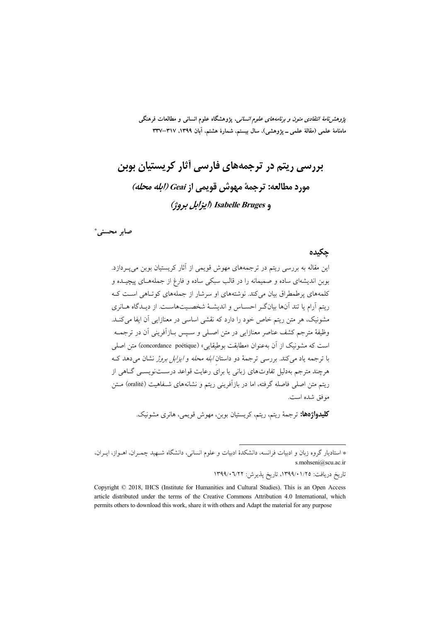*پژوهشنامهٔ انتقادی متون و برنامههای علوم انسانی*، پژوهشگاه علوم انسانی و مطالعات فرهنگی ماهنامهٔ علمی (مقالهٔ علمی ــ پژوهشی)، سال بیستم، شمارهٔ هشتم، آبان ۱۳۹۹، ۳۱۷–۳۳۷

# بررسی ریتم در ترجمههای فارسی آثار کریستیان بوبن مورد مطالعه: ترجمة مهوش قويمي از Geai (إبله محله) و Isabelle Bruges (ايزابل بروژ)

صابر محسني'

#### جكيده

این مقاله به بررسی ریتم در ترجمههای مهوش قویمی از آثار کریستیان بوبن می پ دازد. بوبن اندیشهای ساده و صمیمانه را در قالب سبکی ساده و فارغ از جملههـای پیچیـده و کلمههای پرطمطراق بیان میکند. نوشتههای او سرشار از جملههای کوتاهی است ک ریتم آرام یا تند آنها بیانگ احساس و اندیشهٔ شخصیتهاست. از دیـدگاه هـانری مشونیک، هر متن ریتم خاص خود را دارد که نقشی اساسی در معنازایی آن ایفا می کنــد. وظيفهٔ مترجم كشف عناصر معنازايي در متن اصـلي و سـيس بــازاَفريني اَن در ترجمــه است که مشونیک از آن بهعنوان «مطابقت بوطیقایی» (concordance poétique) متن اصلی با ترجمه یاد می کند. بررسی ترجمهٔ دو داستان *ابله محله و ایزابل بروژ* نشان می دهد ک هرچند مترجم بهدلیل تفاوتهای زبانی یا برای رعایت قواعد درســتنویســی گــاهی از ریتم متن اصلی فاصله گرفته، اما در بازآفرینی ریتم و نشانههای شــفاهیت (oralité) مــتن موفق شده است.

**كليدواژهها:** ترجمهٔ ريتم، ريتم، كريستيان بوبن، مهوش قويمي، هانري مشونيك.

تاريخ دريافت: ١٣٩٩/٠١/٢٥، تاريخ پذيرش: ١٣٩٩/٠٦/٢٢

<sup>\*</sup> استادیار گروه زبان و ادبیات فرانسه، دانشکدهٔ ادبیات و علوم انسانی، دانشگاه شـهید چمـران، اهـواز، ایـران، s.mohseni@scu.ac.ir

Copyright © 2018, IHCS (Institute for Humanities and Cultural Studies). This is an Open Access article distributed under the terms of the Creative Commons Attribution 4.0 International, which permits others to download this work, share it with others and Adapt the material for any purpose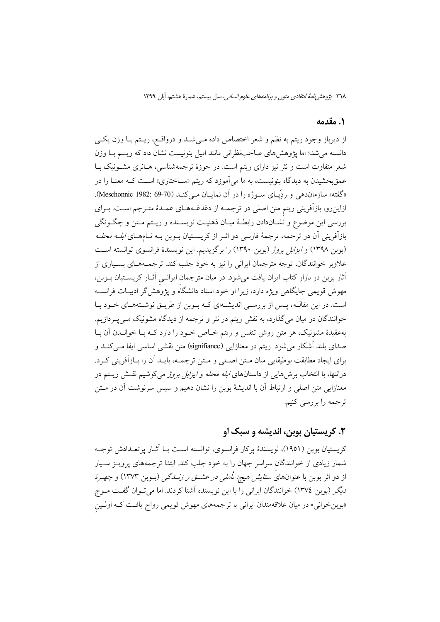#### 1. مقدمه

از ديرباز وجود ريتم به نظم و شعر اختصاص داده مــيشـد و درواقــع، ريــتم بــا وزن يكــي دانسته می شد؛ اما پژوهش های صاحب نظرانی مانند امیل بنونیست نشان داد که ریتم بـا وزن شعر متفاوت است و نثر نیز دارای ریتم است. در حوزهٔ ترجمهشناسی، هـانری مشــونیک بــا عمقبخشیدن به دیدگاه بنونیست، به ما میآموزد که ریتم «سـاختاری» اسـت کـه معنــا را در «گفته» سازمان دهی و ردِّيـاي سـوژه را در آن نمايـان مـي كنـد (70-69 :1982 Meschonnic). ازاینرو، بازآفرینی ریتم متن اصلی در ترجمـه از دغدغـههـای عمـدهٔ متـرجم اسـت. بـرای بررسی این موضوع و نشـاندادن رابطـهٔ میـان ذهنیـت نویسـنده و ریـتم مـتن و چگـونگی بازآفرینی آن در ترجمه، ترجمهٔ فارسی دو اثــر از کریســتیان بــوبن بــه نــامهــای *ابلــه محلــه* (بوبن ١٣٩٨) و *ايزابل بروژ (بوبن ١٣٩٠) را برگزيديم. اين نويسندهٔ فرانسوي توانسته اس*ت علاویر خوانندگان، توجه مترجمان ایرانی را نیز به خود جلب کند. ترجمـههـای بسـیاری از آثار بوبن در بازار کتاب ایران یافت میشود. در میان مترجمان ایرانسی آثـار کریسـتیان بـوبن، مهوش قویمی جایگاهی ویژه دارد، زیرا او خود استاد دانشگاه و پژوهش گر ادبیـات فرانســه است. در این مقالـه، پـس از بررسـی اندیشـهای کـه بـوبن از طریـق نوشـتههـای خـود بـا خوانندگان در میان میگذارد، به نقش ریتم در نثر و ترجمه از دیدگاه مشونیک مـیپـردازیم. بهعقیدهٔ مشونیک، هر متن روش تنفس و ریتم خـاص خـود را دارد کـه بـا خوانــدن آن بـا صدای بلند آشکار می شود. ریتم در معنازایی (signifiance) متن نقشی اساسی ایفا مـیکنــد و براي ايجاد مطابقت بوطيقايي ميان مــتن اصــلي و مــتن ترجمــه، بايــد اَن را بــازاَفريني كــرد. درانتها، با انتخاب برش۵هایی از داستانهای *ابله محله و ایزابل بروژ می*کوشیم نقش ریتم در معنازایی متن اصلی و ارتباط آن با اندیشهٔ بوبن را نشان دهیم و سپس سرنوشت آن در مــتن ترجمه را بررسی کنیم.

### ٢. کريستيان پوين، انديشه و سبک او

کریستیان بوین (۱۹۵۱)، نویسندهٔ پرکار فرانسوی، توانسته است بــا آثــار پرتعــدادش توجــه شمار زیادی از خوانندگان سراسر جهان را به خود جلب کند. ابتدا ترجمههای پرویـز سـیار از دو اثر بوبن با عنوانهای *ستایش هیچ: تأملی در عشت و زنـــدگی (بــو*بن ۱۳۷۳) و *چهـرهٔ* دیگر (بوبن ١٣٧٤) خوانندگان ایرانی را با این نویسنده آشنا کردند. اما میتوان گفت مـوج «بوبنخوانی» در میان علاقهمندان ایرانی با ترجمههای مهوش قویمی رواج یافت کـه اولـین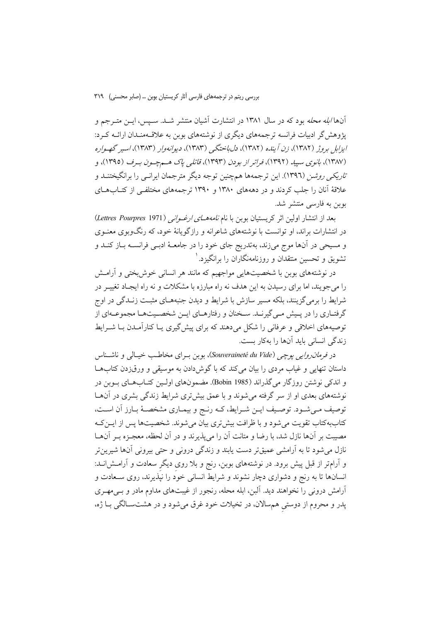آنها *ابله محله* بود که در سال ۱۳۸۱ در انتشارت آشیان منتشر شـد. سـیس، ایــن متــرجم و پژوهشگر ادبیات فرانسه ترجمههای دیگری از نوشتههای بوبن به علاقـهمنـدان ارائـه کـرد: ایزابل بروژ (۱۳۸۲)، زن آینده (۱۳۸۲)، دلباختگی (۱۳۸۳)، دیوانهوار (۱۳۸۳)، اسیر گهواره (١٣٨٧)، بانوی سبيد (١٣٩٢)، فراتر از بودن (١٣٩٣)، قاتلی ياک هسم چسون سرف (١٣٩٥)، و *تاریکی روشن* (۱۳۹٦). این ترجمهها همچنین توجه دیگر مترجمان ایرانـی را برانگیختنــد و علاقهٔ آنان را جلب کردند و در دهههای ۱۳۸۰ و ۱۳۹۰ ترجمههای مختلفی از کتــاب۱هــای بوبن به فارسی منتشر شد.

بعد از انتشار اولین اثر کریستیان بوبن با نام *نامههـــای ارغــوانـی (Lettres Pourpres* 1971) در انتشارات براند، او توانست با نوشتههای شاعرانه و رازگویانهٔ خود، که رنگوبوی معنـوی و مسیحی در آنها موج میزند، بهتدریج جای خود را در جامعـهٔ ادبـی فرانســه بــاز کنــد و تشویق و تحسین منتقدان و روزنامهنگاران را برانگیزد. ۱

در نوشتههای بوین با شخصیتهایی مواجهیم که مانند هر انسانی خوش بختی و آرامـش را می جویند، اما برای رسیدن به این هدف نه راه مبارزه با مشکلات و نه راه ایجـاد تغییـر در شرايط را برمي گزينند، بلكه مسير سازش با شرايط و ديدن جنبههــاي مثبــت زنــدگي در اوج گرفتـاري را در پــيش مــيگيرنــد. ســخنان و رفتارهــاي ايــن شخصــيتهــا مجموعــهاي از توصیههای اخلاقی و عرفانی را شکل میدهند که برای پیش گیری یـا کنارآمـدن بـا شــرایط زندگی انسانی باید آنها را بهکار بست.

در *فرمان روایبی پوچی (Souveraineté du Vide*)، بوبن بـرای مخاطـب خیـالی و ناشــناس داستان تنهایی و غیاب مردی را بیان میکند که با گوش دادن به موسیقی و ورق(دن کتابها و اندکی نوشتن روزگار میگذراند (Bobin 1985). مضمونهای اولین کتـابهـای بـوبن در نوشتههای بعدی او از سر گرفته میشوند و با عمق بیشتری شرایط زندگی بشری در آنهـا توصيف مـي شـود. توصـيف ايـن شـرايط، كـه رنـج و بيمـاري مشخصـهٔ بـارز أن اسـت، کتاببهکتاب تقویت می شود و با ظرافت بیش تری بیان می شوند. شخصیتها پس از ایــن کــه مصیبت بر آنها نازل شد، با رضا و متانت آن را می پذیرند و در آن لحظه، معجـزه بــر آنهــا .<br>نازل میشود تا به آرامشی عمیقتر دست یابند و زندگی درونی و حتی بیرونی آنها شیرین تر و آرامتر از قبل پیش برود. در نوشتههای بوبن، رنج و بلا روی دیگر سعادت و آرامــش|نــد: انسانها تا به رنج و دشواری دچار نشوند و شرایط انسانی خود را نیّدیرند، روی ســعادت و آرامش درونی را نخواهند دید. آلبن، ابله محله، رنجور از غیبتهای مداوم مادر و بـی،مهـری پدر و محروم از دوستی همسالان، در تخیلات خود غرق میشود و در هشتسالگی بـا ژه،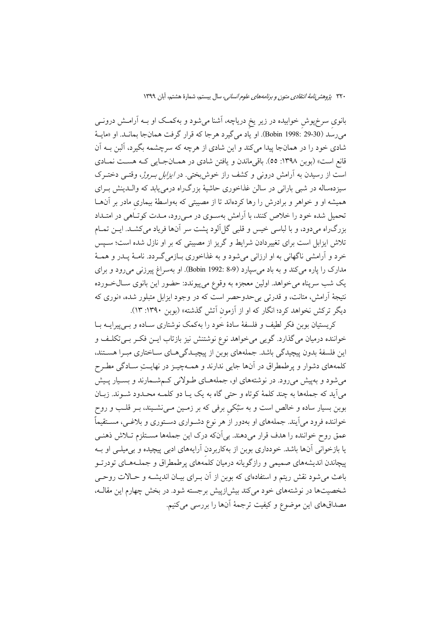بانوی سرخپوش خوابیده در زیر یخ دریاچه، آشنا میشود و بهکمک او بــه آرامــش درونــی مي رسد (30-29 .Bobin 1998). او ياد مي گيرد هرجا كه قرار گرفت همانجا بمانــد. او «مايــهٔ شادی خود را در همانجا پیدا میکند و این شادی از هرچه که سرچشمه بگیرد، آلبن بــه آن قانع است» (بوبن ۱۳۹۸: ٥٥). باقي ماندن و يافتن شادي در همــانجــايي كــه هســت نمــادي است از رسیدن به آرامش درونی و کشف راز خوش بختی. در *ایزابل بـروژ*، وقتـی دختـرک سیزدهساله در شبی بارانی در سالن غذاخوری حاشیهٔ بزرگ(اه درمی یابد که واللدینش بـرای همیشه او و خواهر و برادرش را رها کردهاند تا از مصیبتی که بهواسطهٔ بیماری مادر بر آنهـا تحمیل شده خود را خلاص کنند، با آرامش بهسـوی در مـی٫رود، مـدت کوتــاٌهی در امتــداد بزرگراه میدود، و با لباسی خیس و قلبی گل آلود پشت سر آنها فریاد میکشد. ایـن تمـام تلاش ایزابل است برای تغییردادن شرایط و گریز از مصیبتی که بر او نازل شده است؛ سـپس خرد و آرامشی ناگهانی به او ارزانی میشود و به غذاخوری بـازمیگـردد. نامـهٔ پــدر و همـهٔ مدارک را یاره می کند و به باد می سیارد (Bobin 1992: 8-9). او بهسراغ پیرزنی می رود و برای يک شب سرپناه ميخواهد. اولين معجزه به وقوع ميپيوندد: حضور اين بانوي ســالخــورده نتيجهٔ آرامش، متانت، و قدرت<sub>ی بی</sub> حدوحصر است که در وجود ايزابل متبلور شده، «نوری که دیگر ترکش نخواهد کرد؛ انگار که او از آزمون آتش گذشته» (بوبن ۱۳۹۰: ۱۳).

کریستیان بوبن فکر لطیف و فلسفهٔ سادهٔ خود را بهکمک نوشتاری سـاده و بـیپیرایــه بـا خواننده درمیان میگذارد. گویی می خواهد نوع نوشتنش نیز بازتاب ایـن فکـر بـیتکلـف و این فلسفهٔ بدون پیچیدگی باشد. جملههای بوبن از پیچیـدگیهـای سـاختاری مبـرا هسـتند، كلمههاي دشوار و پرطمطراق در آنها جايي ندارند و همـهچيـز در نهايـتِ سـادگي مطـرح می شود و بهپیش می رود. در نوشتههای او، جملههـای طـولانی کـمشـمارند و بسـیار پـیش مي اَيد كه جملهها به چند كلمهٔ كوتاه و حتى گاه به يک يــا دو كلمــه محــدود شــوند. زبــان بوبن بسیار ساده و خالص است و به سَبُکی برفی که بر زمـین مـیiشـیند، بـر قلـب و روح خواننده فرود می]یند. جملههای او بهدور از هر نوع دشـواری دسـتوری و بلاغـی، مسـتقیماً عمق روح خواننده را هدف قرار میدهند. بی آنکه درک این جملهها مســتلزم تــلاش ذهنــی یا بازخوانی آنها باشد. خودداری بوبن از بهکاربردن آرایههای ادبی پیچیده و بی میلــی او بــه پیچاندن اندیشههای صمیمی و رازگویانه درمیان کلمههای پرطمطراق و جملـههـای تودرتـو باعث می شود نقش ریتم و استفادهای که بوبن از آن بـرای بیـان اندیشــه و حـالات روحــی شخصیتها در نوشتههای خود می کند بیش ازییش برجسته شود. در بخش چهارم این مقالـه، مصداقهای این موضوع و کیفیت ترجمهٔ آنها را بررسی میکنیم.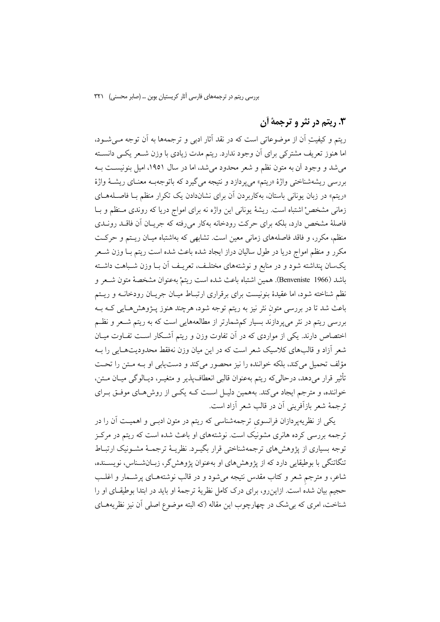### ۰۳ ریتم در نثر و ترجمهٔ آن

ریتم و کیفیتِ اَن از موضوعاتی است که در نقد آثار ادبی و ترجمهها به اَن توجه مــیشــود، اما هنوز تعریف مشترکی برای آن وجود ندارد. ریتم مدت زیادی با وزن شـعر یکـی دانسـته می شد و وجود آن به متون نظم و شعر محدود می شد، اما در سال ۱۹۵۱، امیل بنونیست بـه بررسی ریشهشناختی واژهٔ «ریتم» می پردازد و نتیجه می گیرد که باتوجهب معنای ریشهٔ واژهٔ «ریتم» در زبان یونانی باستان، بهکاربردن آن برای نشاندادن یک تکرار منظم بـا فاصـلههـای زمانی مشخص اشتباه است. ریشهٔ یونانی این واژه نه برای امواج دریا که روندی منظم و بـا فاصلهٔ مشخص دارد، بلکه برای حرکت رودخانه بهکار می رفته که جریـان آن فاقــد رونــدی منظم، مکرر، و فاقد فاصلههای زمانی معین است. تشابهی که بهاشتباه میـان ریـتم و حرکـت مکرر و منظم امواج دریا در طول سالیان دراز ایجاد شده باعث شده است ریتم بـا وزن شــعر یکسان پنداشته شود و در منابع و نوشتههای مختلـف، تعریـف آن بـا وزن شـباهت داشـته باشد (Benveniste 1966). همين اشتباه باعث شده است ريتمْ بهعنوان مشخصةً متون شـعر و نظم شناخته شود، اما عقیدهٔ بنونیست برای برقراری ارتبـاط میـان جریـان رودخانــه و ریـتم باعث شد تا در بررسی متون نثر نیز به ریتم توجه شود، هرچند هنوز پــژوهشهـایی کــه بــه بررسی ریتم در نثر می پردازند بسیار کمشمارتر از مطالعههایی است که به ریتم شـعر و نظـم اختصاص دارند. یکی از مواردی که در آن تفاوت وزن و ریتم آشکار است تفـاوت میـان شعر آزاد و قالبهای کلاسیک شعر است که در این میان وزن نهفقط محدودیتهـایی را بـه مؤلف تحميل مي كند، بلكه خواننده را نيز محصور مي كند و دست يابي او بــه مـتن را تحـت تأثیر قرار میدهد، درحالیکه ریتم بهعنوان قالبی انعطاف پذیر و متغیــر، دیــالوگی میــان مــتن، خواننده، و مترجم ایجاد میکند. بههمین دلیـل اسـت کـه یکـی از روش هـای موفـق بـرای ترجمهٔ شعر بازآفرینی آن در قالب شعر آزاد است.

یکی از نظریهپردازان فرانسوی ترجمهشناسی که ریتم در متون ادبـی و اهمیـت آن را در ترجمه بررسی کرده هانری مشونیک است. نوشتههای او باعث شده است که ریتم در مرکـز توجه بسیاری از یژوهش های ترجمهشناختی قرار بگیـرد. نظریــهٔ ترجمــهٔ مشــونیک ارتبــاط تنگاتنگی با بوطیقایی دارد که از پژوهشهای او بهعنوان پژوهش گر، زبـانشـناس، نویسـنده، شاعر، و مترجم شعر و کتاب مقدس نتیجه میشود و در قالب نوشتههـای پرشــمار و اغلــب حجیم بیان شده است. ازاین رو، برای درک کامل نظریهٔ ترجمهٔ او باید در ابتدا بوطیقای او را شناخت، امری که بی شک در چهارچوب این مقاله (که البته موضوع اصلی آن نیز نظریههـای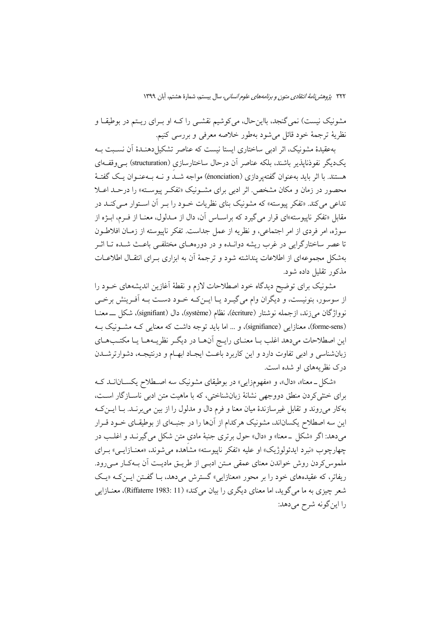مشونیک نیست) نمیگنجد، بااینحال، میکوشیم نقشـی را کـه او بـرای ریـتم در بوطیقـا و نظريهٔ ترجمهٔ خود قائل میشود بهطور خلاصه معرفی و بررسی کنیم.

بهعقیدهٔ مشونیک، اثر ادبی ساختاری ایستا نیست که عناصر تشکیل دهنـدهٔ اَن نسـبت بـه یکدیگر نفوذنایذیر باشند، بلکه عناصر آن درحال ساختارسازی (structuration) بے وقف)ی هستند. با اثر باید بهعنوان گفتهیردازی (énonciation) مواجه شبد و نبه بیهعنبوان یک گفتـهٔ محصور در زمان و مکان مشخص. اثر ادبی برای مشـونیک «تفکـر پیوسـته» را درحـلـ اعــلا تداعی میکند. «تفکر پیوسته» که مشونیک بنای نظریات خـود را بـر آن اسـتوار مـیکنـد در .<br>مقابل «تفکر ناپیوسته»ای قرار می گیرد که براسـاس آن، دال از مــدلول، معنــا از فــرم، ابــژه از سوژه، امر فردی از امر اجتماعی، و نظریه از عمل جداست. تفکر ناپیوسته از زمـان افلاطـون تا عصر ساختارگرایی در غرب ریشه دوانـده و در دورههـای مختلفـی باعـث شـده تـا اثـر بهشکل مجموعهای از اطلاعات پنداشته شود و ترجمهٔ آن به ابزاری بـرای انتقـال اطلاعـات مذکور تقلیل داده شود.

مشونیک برای توضیح دیدگاه خود اصطلاحات لازم و نقطهٔ اَغازین اندیشههای خــود را از سوسور، بنونیست، و دیگران وام می گیـرد یـا ایــن٤کـه خــود دســت بــه آفــرینش برخــی نوواژگان می زند، ازجمله نوشتار (écriture)، نظام (système)، دال (signifiant)، شکل ـــ معنــا (forme-sens)، معنازایی (signifiance)، و ... اما باید توجه داشت که معنایی کـه مشـونیک بـه این اصطلاحات میدهد اغلب بـا معنـای رایـج آنهـا در دیگـر نظریـههـا یـا مکتـبهـای زبان شناسی و ادبی تفاوت دارد و این کاربرد باعث ایجاد ابهام و درنتیجـه، دشوارترشــدن درک نظر یههای او شده است.

«شکل ـ معنا»، «دال»، و «مفهومزایی» در بوطیقای مشونیک سه اصـطلاح یکسـانانــد کــه برای خشی کردن منطق دووجهی نشانهٔ زبان شناختی، که با ماهیت متن ادبی ناسازگار است، بهکار میروند و تقابل غیرسازندهٔ میان معنا و فرم دال و مدلول را از بین میبرنـد. بـا ایــنکـه این سه اصطلاح یکساناند، مشونیک هرکدام از آنها را در جنبهای از بوطیقـای خـود قـرار می دهد: اگر «شکل \_معنا» و «دال» حول برتری جنبهٔ مادی متن شکل می گیرنـد و اغلـب در چهارچوب «نبرد ايدئولوژيک» او عليه «تفکر ناييوسته» مشاهده مي شوند. «معنــازايــي» بــراي ملموس کردن روش خواندن معنای عمقی متن ادبے از طریـق مادیـت آن بـهکـار مـی رود. ریفاتر، که عقیدههای خود را بر محور «معنازایی» گسترش می دهد، بـا گفــتن ایــن کــه «یــک شعر چیزی به ما می گوید، اما معنای دیگری را بیان میکند» (Riffaterre 1983: 11)، معنــازایی را این گونه شرح میدهد: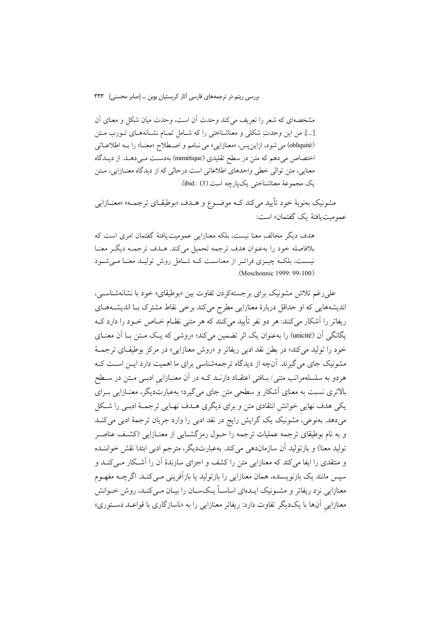بررسی ریتم در ترجمههای فارسی آثار کریستیان بوبن … (صابر محسنی) ۳۲۳

مشخصهای که شعر را تعریف می کند وحدت آن است، وحدت میان شکل و معنای آن […]. من اين وحدتِ شكلي و معناشناختي را كه شـامل تمـام نشـانههـاي تـورب مـتن (obliquité) می شود، ازاین پس، «معنازایی» می نامم و اصطلاح «معنـا» را بـه اطلاعـاتی اختصاص می دهم که متن در سطح تقلیدی (mimétique) بهدست مـی دهـد. از دیـدگاه معنایی، متن توالی خطی واحدهای اطلاعاتی است درحالی که از دیدگاه معنازایی، متن يک مجموعهٔ معناشناختی يکپارچه است (ibid.: 13).

مشونیک بهنوبهٔ خود تأیید میکند کـه موضـوع و هــدف «بوطیقــای ترجمــه» «معنــازایی عمومت افتهٔ یک گفتمان» است:

هدف دیگر مخالف ِمعنا نیست، بلکه معنازایی عمومیت یافتهٔ گفتمان امری است که بلافاصله خود را بهعنوان هدف ترجمه تحميل مي كند. هـدف ترجمــه ديگــر معنــا نیست، بلکـه چیــزی فراتـر از معناسـت کـه شــامل روش تولیــد معنـا مــیشــود (Meschonnic 1999: 99-100).

علي رغم تلاش مشونيک براي برجستهکردن تفاوت بين «بوطيقاي» خود با نشانهشناسـي، اندیشههایی که او حداقل دربارهٔ معنازایی مطرح میکند برخی نقاط مشترک بـا اندیشـههـای ریفاتر را آشکار می کنند: هر دو نفر تأیید می کنند که هر متنی نظــام خــاص خــو د را دارد کــه یگانگی آن (unicité) را بهعنوان یک اثر تضمین میکند؛ «روشی که یک مـتن بـا آن معنـای خود را توليد مي كند» در بطن نقد ادبي ريفاتر و «روش معنازايي» در مركز بوطيقـاي ترجمــهٔ مشونیک جای می گیرند. آنچه از دیدگاه ترجمهشناسی برای ما اهمیت دارد ایــن اســت کــه هردو به سلسلهمراتب متنی/ بـافتی اعتقـاد دارنـد کــه در آن معنـازایی ادبـی مــتن در ســطح بالاتری نسبت به معنای آشکار و سطحی متن جای میگیرد؛ بهعبارتدیگر، معنـازایی بـرای یکی هدف نهایی خوانش انتقادی متن و برای دیگری هـدف نهـایی ترجمـهٔ ادبـی را شـكل میدهد. بهنوعی، مشونیک یک گرایش رایج در نقد ادبی را وارد جریان ترجمهٔ ادبی میکنـد و به نام بوطیقای ترجمه عملیات ترجمه را حـول رمزگشـایی از معنـازایی (کشـف عناصـر توليد معنا) و بازتوليد أن سازماندهي مي كند. بهعبارتديگر، مترجم ادبي ابتدا نقش خواننــده و منتقدی را ایفا می کند که معنازایی متن را کشف و اجزای سازندهٔ آن را آشکار مـی کنــد و سپس مانند یک بازنویسنده، همان معنازایی را بازتولید یا بازآفرینی مـیکنـد. اگرچــه مفهــوم معنازایی نزد ریفاتر و مشــونیک ایــدهای اساســاً یــکـســان را بیــان مــی کنــد، روش خــوانش معنازایی آنها با یکدیگر تفاوت دارد: ریفاتر معنازایی را به «ناسازگاری با قواعـد دسـتوری»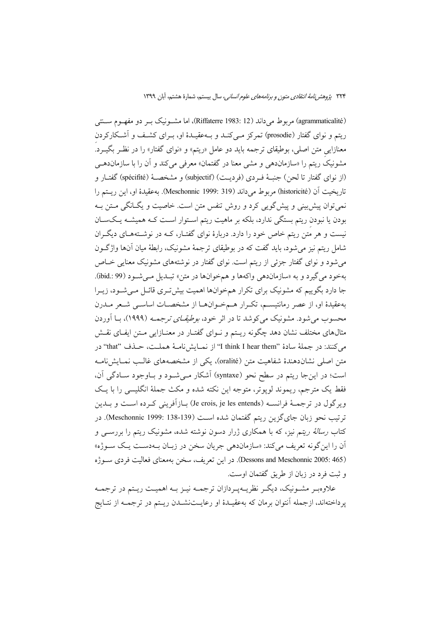(agrammaticalité) مربوط میداند (Riffaterre 1983: 12)، اما مشونیک بـر دو مفهـوم سـتتی ریتم و نوای گفتار (prosodie) تمرکز مےکنـد و بـهعقیـدۀ او، بــرای کشـف و آشـکارکردن معنازایی متن اصلی، بوطیقای ترجمه باید دو عامل «ریتم» و «نوای گفتار» را در نظـر بگیــرد. مشونیک ریتم را «سازماندهی و مشی معنا در گفتمان» معرفی می کند و آن را با سازمانده<sub>سی</sub> (از نوای گفتار تا لحن) جنبـهٔ فــردی (فردیــت) (subjectif) و مشخصــهٔ (spécifité) گفتــار و تاريخيت آن (historicité) مربوط مي داند (319 :1999 Meschonnic). به عقيدهٔ او، اين ريستم را نمي توان پيش بيني و پيش گويي كرد و روش تنفس متن است. خاصيت و يگـانگي مـتن بـه بودن یا نبودن ریتم بستگی ندارد، بلکه بر ماهیت ریتم استوار است کـه همیشـه یـکسـان نیست و هر متن ریتم خاص خود را دارد. دربارهٔ نوای گفتـار، کــه در نوشـتههـای دیگـران شامل ریتم نیز می شود، باید گفت که در بوطیقای ترجمهٔ مشونیک، رابطهٔ میان آنها واژگــون می شود و نوای گفتار جزئی از ریتم است. نوای گفتار در نوشتههای مشونیک معنایی خــاص بهخود مي گيرد و به «سازماندهي واكهها و همخوانها در متن» تبـديل مـي شـود (99 :.ibid). جا دارد بگوییم که مشونیک برای تکرار همخوانها اهمیت بیش تـری قائـل مـی شـود، زیـرا بهعقیدهٔ او، از عصر رمانتیسـم، تکـرار هــمخـوانهـا از مشخصـات اساســی شــعر مــدرن محسوب می شود. مشونیک می کوشد تا در اثر خود، *بوطیقــای ترجمــه* (۱۹۹۹)، بــا اَوردن مثالهای مختلف نشان دهد چگونه ریـتم و نـوای گفتـار در معنـازایی مـتن ایفـای نقـش می کنند: در جملهٔ سادهٔ "I think I hear them" از نمـایشiامـهٔ هملـت، حـذف "that" در متن اصلی نشاندهندهٔ شفاهیت متن (oralité)، یکی از مشخصههای غالـب نمـایشiامـه است؛ در این جا ریتم در سطح نحو (syntaxe) آشکار مے شود و باوجود سادگی آن، فقط يک مترجم، ريموند لوپوتر، متوجه اين نکته شده و مکث جملهٔ انگليسي را با يک ويركول در ترجمــهٔ فرانســه (Je crois, je les entends) بــازآفريني كــرده اســت و بــدين ترتيب نحو زبان جاي گزين ريتم گفتمان شده است (139-138 :Meschonnic 1999). در کتاب *رسالهٔ ریتم ن*یز، که با همکاری ژرار دسون نوشته شده، مشونیک ریتم را بررســی و اّن را این گونه تعریف میکند: «سازماندهی جریان سخن در زبـان بـهدسـت یـک سـوژه» (Dessons and Meschonnic 2005: 465). در این تعریف، سخن بهمعنای فعالیت فردی سوژه و ثبت فرد در زبان از طريق گفتمان اوست.

علاوهبر مشـونيک، ديگـر نظريـهپـردازان ترجمـه نيـز بـه اهميـت ريـتم در ترجمـه پرداختهاند، ازجمله آنتوان برمان که بهعقیــدهٔ او رعایــتنشــدن ریــتم در ترجمــه از نتــایج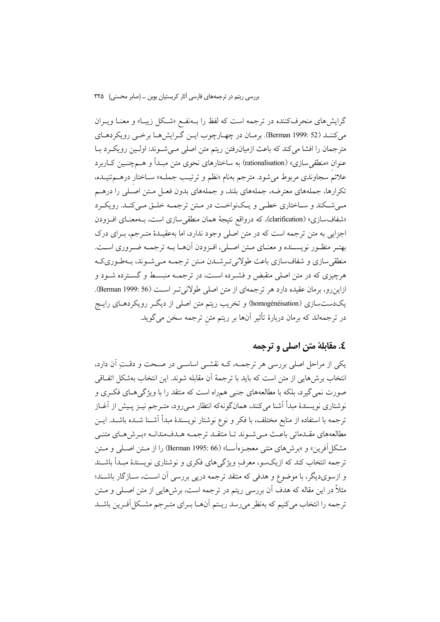گرایشهای منحرفکننده در ترجمه است که لفظ را بـهنفـع «شـکل زیبـا» و معنــا ویــران می کننـد (52 :Berman) برمـان در چهـارچوب ايـن گـرايش هـا برخـي رويكردهـاي مترجمان را افشا می کند که باعث ازمیان رفتن ریتم متن اصلی مے شوند: اولـین رویکـرد بـا عنوان «منطقی سازی» (rationalisation) به ساختارهای نحوی متن مبـدأ و هــمچنــین کــاربرد علائم سجاوندی مربوط می شود. مترجم بهنام «نظم و ترتیب جملـه» سـاختار درهــمتنیـده، تکرارها، جملههای معترضه، جملههای بلند، و جملههای بدون فعـل مـتن اصـلی را درهــم میشکند و ساختاری خطی و یکنواخت در متن ترجمه خلق میکند. رویکرد «شفافسازي» (clarification)، كه درواقع نتيجة همان منطقىسازي است، بــهمعنـاي افــزودن اجزایی به متن ترجمه است که در متن اصلی وجود ندارد، اما بهعقیـدهٔ متـرجم، بـرای درک بهتـر منظـور نويسـنده و معنـاي مـتن اصـلي، افـزودن أنهـا بـه ترجمـه ضـروري اسـت. منطقی سازی و شفاف سازی باعث طولانی تـرشـدن مـتن ترجمـه مـیشـوند، بـهطـوریکـه هرچیزی که در متن اصلی منقبض و فشـرده اسـت، در ترجمــه منبسـط و گسـترده شـود و ازاین رو، برمان عقیده دارد هر ترجمهای از متن اصلی طولانی تـر اسـت (Berman 1999: 56). یکدستسازی (homogénéisation) و تخریب ریتم متن اصلی از دیگر رویکردهـای رایــج در ترجمهاند که برمان دربارهٔ تأثیر آنها بر ریتم متن ترجمه سخن میگوید.

### ٤. مقابلهٔ متن اصلي و ترجمه

یکی از مراحل اصلی بررسی هر ترجمـه، کـه نقشـی اساسـی در صـحت و دقـتِ آن دارد، انتخاب برش۵مایی از متن است که باید با ترجمهٔ آن مقابله شوند. این انتخاب بهشکل اتفـاقی صورت نمی گیرد، بلکه با مطالعههای جنبی همراه است که منتقد را با ویژگی هـای فکـری و نوشتاری نویسندهٔ مبدأ آشنا میکنند، همانگونهکه انتظار مـیرود، متـرجم نیـز پـیش از آغـاز ترجمه با استفاده از منابع مختلف، با فكر و نوع نوشتار نويسندهٔ مبدأ آشــنا شــده باشــد. ايــن مطالعههای مقـدماتی باعـث مـی شـوند تـا منتقـد ترجمـه هـدفمندانـه «بـرش۵حـای متنـی مشكل أفرين» و «برش هاي متنى معجـزهأســا» (Berman 1995: 66) را از مــتن اصــلى و مــتن ترجمه انتخاب کند که ازیکسو، معرف ویژگیهای فکری و نوشتاری نویسندهٔ مبـدأ باشــند و ازسویدیگر، با موضوع و هدفی که منتقد ترجمه درپی بررسی آن است، سـازگار باشـند؛ مثلاً در این مقاله که هدف آن بررسی ریتم در ترجمه است، برش۵هایی از متن اصـلی و مــتن ترجمه را انتخاب می کنیم که بهنظر می رسد ریتم آنهــا بــرای متــرجم مشــکل آفــرین باشــد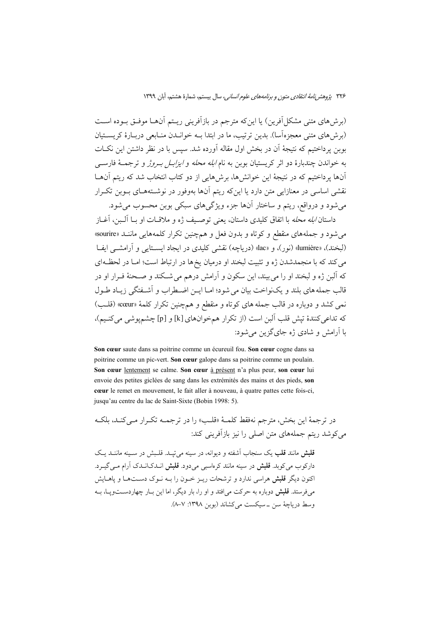(برش های متنی مشکل آفرین) یا این که مترجم در بازآفرینی ریــتم آن۱مـا موفــق بــوده اســت (بوش های متنی معجزهآسا). بدین ترتیب، ما در ابتدا بـه خوانــدن منــابعی دربــارهٔ کریســتیان بوبن يرداختيم كه نتيجهٔ آن در بخش اول مقاله آورده شد. سيس با در نظر داشتن اين نكــات به خواندن چندبارهٔ دو اثر کریستیان بوین به نام *ابله محله و ایزابـل بـروژ* و ترجمــهٔ فارســی آنها یرداختیم که در نتیجهٔ این خوانشها، برشهایی از دو کتاب انتخاب شد که ریتم آنهــا نقشی اساسی در معنازایی متن دارد یا این که ریتم آنها بهوفور در نوشــتههــای بــوین تکــرار میشود و درواقع، ریتم و ساختار آنها جزء ویژگیهای سبکی بوبن محسوب میشود.

داستان *آبله محله* با اتفاق کلیدی داستان، یعنی توصیف ژه و ملاقــات او بــا اَلــبن، اَغــاز می شود و جملههای منقطع و کوتاه و بدون فعل و همچنین تکرار کلمههایی ماننـد «sourire» (لبخند)، «lumière» (نور)، و «lac» (دریاچه) نقشی کلیدی در ایجاد ایستایی و آرامشــی ایفـا می کند که با منجمدشدن ژه و تثبیت لبخند او درمیان یخ ها در ارتباط است؛ امـا در لحظـهای که آلبن ژه و لبخند او را می بیند، این سکون و آرامش درهم می شـکند و صـحنهٔ فـرار او در قالب جمله های بلند و یکنواخت بیان می شود؛ امـا ایــن اضـطراب و اَشــفتگی زیــاد طــول نمي کشد و دوباره در قالب جمله هاي کو تاه و منقطع و هم چنين تکرار کلمهٔ «cœur» (قلب) كه تداعي كنندهٔ تپش قلب البن است (از تكرار همخوانهاي [k] و [p] چشمپوشي مي كنـيم)، با آرامش و شادی ژه جای گزین می شود:

Son cœur saute dans sa poitrine comme un écureuil fou. Son cœur cogne dans sa poitrine comme un pic-vert. Son cœur galope dans sa poitrine comme un poulain. Son cœur lentement se calme. Son cœur à présent n'a plus peur, son cœur lui envoie des petites giclées de sang dans les extrémités des mains et des pieds, son cœur le remet en mouvement, le fait aller à nouveau, à quatre pattes cette fois-ci, jusqu'au centre du lac de Saint-Sixte (Bobin 1998: 5).

در ترجمهٔ این بخش، مترجم نهفقط کلمـهٔ «قلـب» را در ترجمـه تکـرار مـه کنـد، بلکـه می کوشد ریتم جملههای متن اصلی را نیز بازآفرینی کند:

قلبش مانند قلب یک سنجاب آشفته و دیوانه، در سینه می تیـد. قلـبش در سـینه ماننــد یـک دارکوب می کوبد. **قلبش** در سینه مانند کرماسبی می دود. **قلبش** انــدکانــدک آرام مــی گیــرد. اکنون دیگر **قلبش** هراسی ندارد و ترشحات ریبز خبون را بیه نبوک دستها و پاهیایش می فرستد. **قلبش** دوباره به حرکت می افتد و او را، بار دیگر، اما این بـار چهاردســتویــا، بــه وسط درياچهٔ سن \_سيكست مي كشاند (بوبن ١٣٩٨: ٧-٨).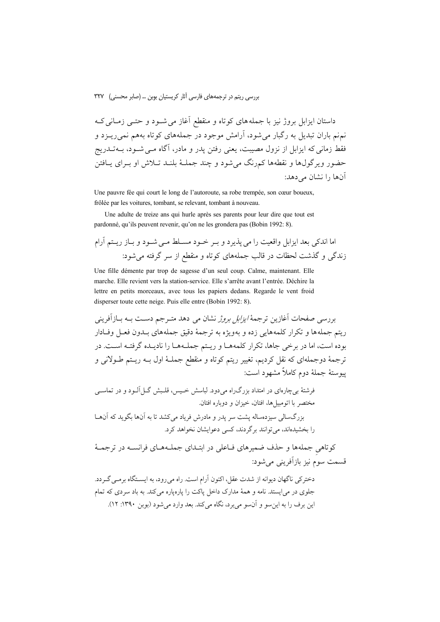بررسی ریتم در ترجمههای فارسی آثار کریستیان بوبن ... (صابر محسنی) ٣٢٧

داستان ایزابل بروژ نیز با جملههای کوتاه و منقطع آغاز می شـود و حتـبی زمـانی کـه نم.نم باران تبدیل به رگبار می شود، آرامش موجود در جملههای کوتاه بههم نمی ریــزد و فقط زمانی که ایزابل از نزول مصیبت، یعنی رفتن یدر و مادر، آگاه مــی شــود، بــهتــدریج حضور ویرگولها و نقطهها کمرنگ می شود و چند جملـهٔ بلنـد تـلاش او بـرای پــافتن آنها را نشان مے دهد:

Une pauvre fée qui court le long de l'autoroute, sa robe trempée, son cœur boueux, frôlée par les voitures, tombant, se relevant, tombant à nouveau.

Une adulte de treize ans qui hurle après ses parents pour leur dire que tout est pardonné, qu'ils peuvent revenir, qu'on ne les grondera pas (Bobin 1992: 8).

Une fille démente par trop de sagesse d'un seul coup. Calme, maintenant. Elle marche. Elle revient vers la station-service. Elle s'arrête avant l'entrée. Déchire la lettre en petits morceaux, avec tous les papiers dedans. Regarde le vent froid disperser toute cette neige. Puis elle entre (Bobin 1992: 8).

بررسی صفحات آغازین ترجمهٔ *ایزابل بروژ* نشان می دهد متـرجم دسـت بـه بــازآفرینی ريتم جملهها و تكرار كلمههايي زده و بهويژه به ترجمهٔ دقيق جملههاي بـدون فعـل وفـادار بوده است، اما در برخی جاها، تکرار کلمههـا و ریـتم جملـههـا را نادیـده گرفتـه اسـت. در ترجمهٔ دوجملهای که نقل کردیم، تغییر ریتم کوتاه و منقطع جملـهٔ اول بــه ریــتم طــولانی و يبوستهٔ جملهٔ دوم کاملاً مشهود است:

کوتاهی جملهها و حذف ضمیرهای فـاعلی در ابتـدای جملـههـای فرانسـه در ترجمـهٔ قسمت سوم نيز بازآفريني مي شود:

دخترکی ناگهان دیوانه از شدت عقل، اکنون آرام است. راه می رود، به ایسـتگاه برمـی گـردد. جلوی در می ایستد. نامه و همهٔ مدارک داخل پاکت را پارهپاره می کند. به باد سردی که تمام این برف را به این سو و آن سو می بر د، نگاه می کند. بعد وارد می شود (بوین ۱۳۹۰: ۱۲).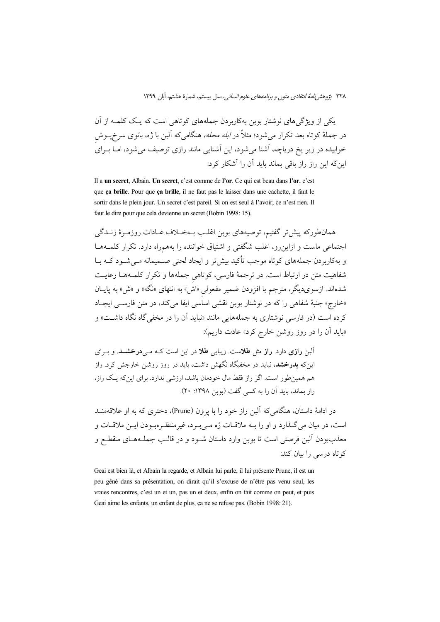یکی از ویژگی های نوشتار بوبن بهکاربردن جملههای کوتاهی است که یـک کلمــه از آن در جملهٔ کوتاه بعد تکرار میشود؛ مثلاً در *ابله محله،* هنگامیکه آلبن با ژه، بانوی سرخپــوش خوابیده در زیر یخ دریاچه، آشنا می شود، این آشنایی مانند رازی توصیف می شود، امــا بــرای اینکه این راز راز باقی بماند باید آن را آشکار کرد:

Il a un secret, Albain. Un secret, c'est comme de l'or. Ce qui est beau dans l'or, c'est que ça brille. Pour que ça brille, il ne faut pas le laisser dans une cachette, il faut le sortir dans le plein jour. Un secret c'est pareil. Si on est seul à l'avoir, ce n'est rien. Il faut le dire pour que cela devienne un secret (Bobin 1998: 15).

همانطورکه پیش تر گفتیم، توصیههای بوبن اغلـب بــهخــلاف عــادات روزمــرهٔ زنــدگی اجتماعی ماست و ازاین و، اغلب شگفتی و اشتباق خواننده را بههمراه دارد. تکرار کلمـههـا و بهکاربردن جملههای کوتاه موجب تأکید بیش تر و ایجاد لحنی صــمیمانه مــیشــود کــه بــا شفاهیت متن در ارتباط است. در ترجمهٔ فارسی، کوتاهی جملهها و تکرار کلمـههـا رعایـت شدهاند. ازسویدیگر، مترجم با افزودن ضمیر مفعولی «اش» به انتهای «نگه» و «ش» به پایــان «خارج» جنبهٔ شفاهی را که در نوشتار بوبن نقشی اساسی ایفا می کند، در متن فارسـی ایجـاد کرده است (در فارسی نوشتاری به جملههایی مانند «نباید آن را در مخفی گاه نگاه داشـت» و «باید اّن را در روز روشن خارج کرد» عادت داریم):

آلبن **رازی** دارد. **راز** مثل **طلا**ست. زیبایی طلا در این است کـه مـی **درخشــد**. و بـرای اینکه **بدرخشد**، نباید در مخفیگاه نگهش داشت، باید در روز روشن خارجش کرد. راز هم همین طور است. اگر راز فقط مال خودمان باشد، ارزشی ندارد. برای این که یک راز، راز بماند، باید آن را به کسی گفت (بوین ۱۳۹۸: ۲۰).

در ادامهٔ داستان، هنگامه ٍکه اَلبن راز خود را با پرون (Prune)، دختری که به او علاقهمنــد است، در ميان مي گـذارد و او را بــه ملاقــات ژه مــي بــرد، غيرمنتظــرهبــودن ايــن ملاقــات و معذببودن آلبن فرصتي است تا بوبن وارد داستان شـود و در قالـب جملــههــاى منقطــع و کو تاه درسی را بیان کند:

Geai est bien là, et Albain la regarde, et Albain lui parle, il lui présente Prune, il est un peu gêné dans sa présentation, on dirait qu'il s'excuse de n'être pas venu seul, les vraies rencontres, c'est un et un, pas un et deux, enfin on fait comme on peut, et puis Geai aime les enfants, un enfant de plus, ça ne se refuse pas. (Bobin 1998: 21).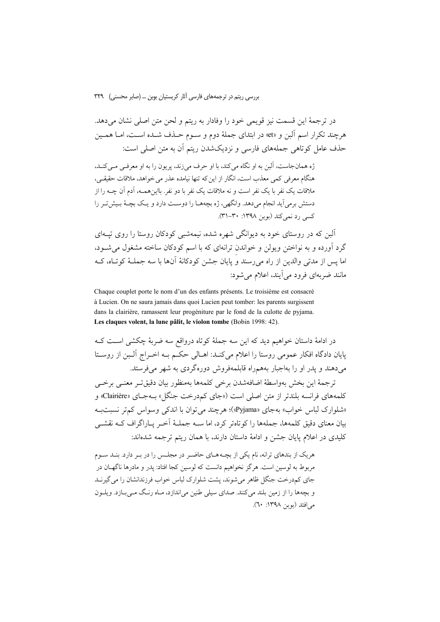در ترجمهٔ این قسمت نیز قویمی خود را وفادار به ریتم و لحن متن اصلی نشان میدهد. هرچند تکرار اسم آلبن و «et» در ابتدای جملهٔ دوم و سـوم حـذف شـده اسـت، امـا همـین حذف عامل کوتاهی جملههای فارسی و نزدیکشدن ریتم آن به متن اصلی است:

ژه همان جاست، آلین به او نگاه می کند، با او حرف می زند، پریون را به او معرفـی مـی کنـد، هنگام معرفی کمی معذب است، انگار از این که تنها نیامده عذر می خواهد، ملاقات حقیقی، ملاقات یک نفر با یک نفر است و نه ملاقات یک نفر با دو نفر. بااینهمــه، آدم آن چــه را از دستش برمی آید انجام میدهد. وانگهی، ژه بچههـا را دوسـت دارد و یـک بچـهٔ بـیش تـر را کسی رد نمیکند (بوبن ۱۳۹۸: ۳۰-۳۱).

آلین که در روستای خود به دیوانگر شهره شده، نیمهشیر کودکان روستا را روی تسهای گرد آورده و به نواختن ویولن و خواندن ترانهای که با اسم کودکان ساخته مشغول می شود، اما پس از مدتی والدین از راه میرسند و پایان جشن کودکانهٔ آنها با سه جملـهٔ کوتـاه، کـه مانند ضربهای فرود می آیند، اعلام می شود:

Chaque couplet porte le nom d'un des enfants présents. Le troisième est consacré à Lucien. On ne saura jamais dans quoi Lucien peut tomber: les parents surgissent dans la clairière, ramassent leur progéniture par le fond de la culotte de pyjama. Les claques volent, la lune pâlit, le violon tombe (Bobin 1998: 42)

در ادامهٔ داستان خواهیم دید که این سه جملهٔ کوتاه درواقع سه ضربهٔ چکشی اسـت کـه یایان دادگاه افکار عمومی روستا را اعلام می کنـد: اهـالی حکـم بـه اخـراج آلـبن از روسـتا می دهند و یدر او را بهاجبار بههمراه قابلمهفروش دورهگردی به شهر می فرستد.

ترجمهٔ این بخش بهواسطهٔ اضافهشدن برخی کلمهها بهمنظور بیان دقیق تـر معنـبی برخـبی كلمههاي فرانسه بلندتر از متن اصلي است ((جاي كمدرخت جنگل) بــهجــاي «Clairière» و «شلوارک لباس خواب» بهجای «Pyjama»)؛ هرچند می توان با اندکی وسواس کمتر نسبتبه بیان معنای دقیق کلمهها، جملهها را کو تاهتر کرد، اما ســه جملــهٔ اَخــر پــاراگراف کــه نقشــی كليدى در اعلام پايان جشن و ادامهٔ داستان دارند، با همان ريتم ترجمه شدهاند:

هریک از بندهای ترانه، نام یکی از بچـههـای حاضـر در مجلـس را در بـر دارد. بنـد سـوم مربوط به لوسین است. هرگز نخواهیم دانست که لوسین کجا افتاد: پدر و مادرها ناگهــان در جای کمدرخت جنگل ظاهر می شوند، پشت شلوارک لباس خواب فرزندانشان را می گیرنـد و بچهها را از زمین بلند میکنند. صدای سیلی طنین میاندازد، مـاه رنـگ مـی بـازد. ویلـون می افتد (بوین ۱۳۹۸: ۲۰).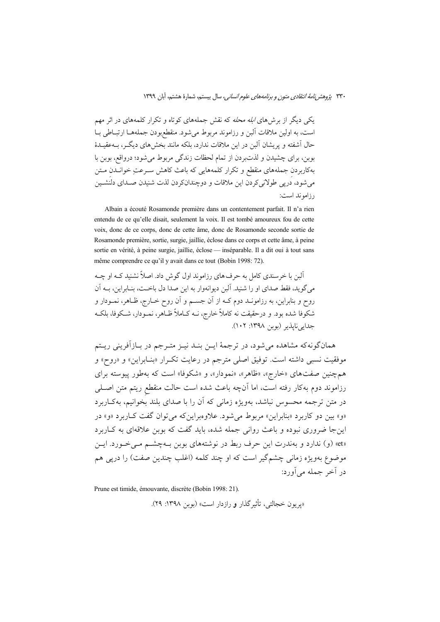یکی دیگر از برش های *ابله محله* که نقش جملههای کوتاه و تکرار کلمههای در اثر مهم است، به اولین ملاقات آلبن و رزاموند مربوط می شود. منقطعبودن جملههـا ارتبـاطی بـا حال آشفته و پریشان آلبن در این ملاقات ندارد، بلکه مانند بخش های دیگ ، بـهعقیـدهٔ بوبن، براي چشيدن و لذتبردن از تمام لحظات زندگي مربوط مي شود؛ درواقع، بوبن با بهکاربردن جملههای منقطع و تکرار کلمههایی که باعث کاهش سـرعتِ خوانــدن مـتن می شود، دریی طولانی کردن این ملاقات و دوچندانکردن لذت شنیدن صـدای دلنشـین رزاموند است:

Albain a écouté Rosamonde première dans un contentement parfait. Il n'a rien entendu de ce qu'elle disait, seulement la voix. Il est tombé amoureux fou de cette voix, donc de ce corps, donc de cette âme, donc de Rosamonde seconde sortie de Rosamonde première, sortie, surgie, jaillie, éclose dans ce corps et cette âme, à peine sortie en vérité, à peine surgie, jaillie, éclose — inséparable. Il a dit oui à tout sans même comprendre ce qu'il y avait dans ce tout (Bobin 1998: 72).

آلین با خرسندی کامل به حرف های رزاموند اول گوش داد. اصلاً نشنید کـه او چــه مي گويد، فقط صداي او را شنيد. آلين ديوانهوار به اين صدا دل باخت، بنياراين، سه آن روح و بنابراین، به رزامونــد دوم کــه از آن جســم و آن روح خــارج، ظــاهر، نمــودار و شکوفا شده بود. و درحقیقت نه کاملاً خارج، نــه کــاملاً ظــاهر، نمــودار، شــکوفا، بلکــه جدانه نابذير (بوين ١٣٩٨: ١٠٢).

همانگونهکه مشاهده می شود، در ترجمهٔ ایــن بنــد نیــز متــرجم در بــازآفرینی ریــتم موفقيت نسبي داشته است. توفيق اصلي مترجم در رعايت تكرار «بنـابراين» و «روح» و همچنین صفتهای «خارج»، «ظاهر»، «نمودار»، و «شکوفا» است که بهطور پیوسته برای رزاموند دوم بهکار رفته است، اما آنچه باعث شده است حالت منقطع ريتم متن اصـلـي در متن ترجمه محسوس نباشد، بهویژه زمانی که آن را با صدای بلند بُخوانیم، بهکـاربرد «و» بين دو كاربرد «بنابراين» مربوط مي شود. علاوهبراين كه مي توان گفت كــاربرد «و» در این جا ضروری نبوده و باعث روانی جمله شده، باید گفت که بوبن علاقهای به کباربرد «et» (و) ندارد و بهندرت این حرف ربط در نوشتههای بوبن بـهچشـم مـی خـورد. ایـن موضوع بهويژه زماني چشمگير است كه او چند كلمه (اغلب چندين صفت) را دريي هم در اَخر جمله مي اَورد:

Prune est timide, émouvante, discrète (Bobin 1998: 21).

«پریون خجالتی، تأثیر گذار و رازدار است» (بوین ۱۳۹۸: ۲۹).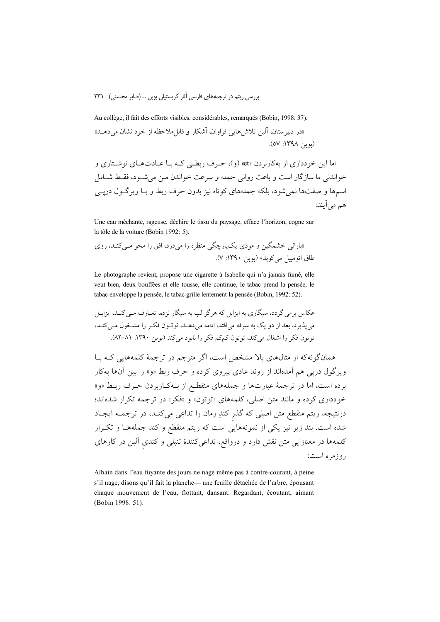#### بررسی ریتم در ترجمههای فارسی آثار کریستیان بوین … (صابر محسنی) ۳۳۱

Au collège, il fait des efforts visibles, considérables, remarqués (Bobin, 1998: 37). «در دبیر ستان، آلبن تلاش هایی فراوان، آشکار و قابل ملاحظه از خود نشان می دهـلـ» (بوين ١٣٩٨: ٥٧).

اما این خو دداری از بهکاربر دن «et» (و)، حـرف ربطـی کـه بـا عــادتهـای نوشــتاری و خواندني ما سازگار است و باعث رواني جمله و سرعت خواندن متن مي شـود، فقـط شـامل اسمها و صفتها نمی شود، بلکه جملههای کوتاه نیز بدون حرف ربط و بـا ویرگـول درپــی هم مي اَيند:

Une eau méchante, rageuse, déchire le tissu du paysage, efface l'horizon, cogne sur la tôle de la voiture (Bobin 1992: 5).

Le photographe revient, propose une cigarette à Isabelle qui n'a jamais fumé, elle veut bien, deux bouffées et elle tousse, elle continue, le tabac prend la pensée, le tabac enveloppe la pensée, le tabac grille lentement la pensée (Bobin, 1992: 52).

همان گونه که از مثالهای بالا مشخص است، اگر مترجم در ترجمهٔ کلمههایی کـه بـا ویرگول دری<sub>ی</sub> هم آمدهاند از روند عادی پیروی کرده و حرف ربط «و» را بین آنها بهکار برده است، اما در ترجمهٔ عبارتها و جملههای منقطـع از بـهکـاربردن حـرف ربـط «و» .<br>خودداری کرده و مانند متن اصلی، کلمههای «توتون» و «فکر» در ترجمه تکرار شدهاند؛ درنتیجه، ریتم منقطع متن اصلی که گذر کندِ زمان را تداعی میکنـد، در ترجمــه ایجـاد شده است. بند زیر نیز یکی از نمونههایی است که ریتم منقطع و کند جملههـا و تکـرار کلمهها در معنازایی متن نقش دارد و درواقع، تداعیکنندهٔ تنبلی و کندی آلبن در کارهای روزمره است:

Albain dans l'eau fuyante des jours ne nage même pas à contre-courant, à peine s'il nage, disons qu'il fait la planche— une feuille détachée de l'arbre, épousant chaque mouvement de l'eau, flottant, dansant. Regardant, écoutant, aimant (Bobin 1998: 51).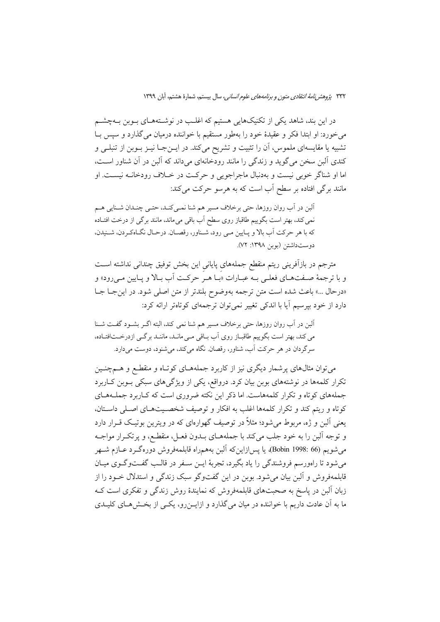در این بند، شاهد یکی از تکنیکهایی هستیم که اغلب در نوشـتههـای بـوبن بـهچشــم می خورد: او ابتدا فکر و عقیدهٔ خود را بهطور مستقیم با خواننده درمیان می گذارد و سپس بـا تشبیه یا مقایسهای ملموس، آن را تثبیت و تشریح میکند. در ایــنجــا نیــز بــوبن از تنبلــی و کندی آلبن سخن می گوید و زندگی را مانند رودخانهای میداند که آلبن در آن شناور است، اما او شناگر خوبی نیست و بهدنبال ماجراجویی و حرکت در خـلاف رودخانــه نیســت. او مانند برگی افتاده بر سطح آب است که به هرسو حرکت میکند:

آلبن در آب روان روزها، حتى برخلاف مسير هم شنا نمـىكنـد، حتـى چنـدان شـنايى هـم نمی کند، بهتر است بگوییم طاقباز روی سطح آب باقی میماند، مانند برگی از درخت افتـاده كه با هر حركت أب بالا و پـايين مـي رود، شـناور، رقصـان. درحـال نگـاهكـردن، شـنيدن، دوست داشتن (بوبن ١٣٩٨: ٧٢).

مترجم در بازآفرینی ریتم منقطع جملههای پایانی این بخش توفیق چندانی نداشته اسـت و با ترجمهٔ صـفتهـاي فعلـي بـه عبـارات «بـا هـر حركـت أب بـالا و يـايين مـي رود» و «درحال ...» باعث شده است متن ترجمه بهوضوح بلندتر از متن اصلي شود. در اين جب جب دارد از خود بیرسیم آیا با اندکی تغییر نمیتوان ترجمهای کوتاهتر ارائه کرد:

آلبن در آب روان روزها، حتى برخلاف مسير هم شنا نمى كند، البته اگــر بشــود گفــت شــنا می کند، بهتر است بگوییم طاقبـاز روی آب بـاقی مـی مانـد، ماننـد برگـی ازدرخــتافتـاده، سرگردان در هر حرکت آب، شناور، رقصان نگاه میکند، می شنود، دوست میدارد.

می توان مثالهای پرشمار دیگری نیز از کاربرد جملههـای کوتـاه و منقطـع و هــمچنــین تکرار کلمهها در نوشتههای بوبن بیان کرد. درواقع، یکی از ویژگیهای سبکی بـوبن کـاربرد جملههای کو تاه و تکرار کلمههاست. اما ذکر این نکته ضروری است که کـاربرد جملــههــای کوتاه و ربتم کند و تکرار کلمهها اغلب به افکار و توصیف شخصیتهای اصلی داستان، یعنی اَلبن و ژه، مربوط میشود؛ مثلاً در توصیف گهوارهای که در ویترین بوتیک قــرار دارد و توجه آلبن را به خود جلب می کند با جملههــای بــدون فعــل، منقطـع، و پر تکــرار مواجــه مي شويم (66 :Bobin 1998)، يا يسرازاينكه آلبن بههمراه قابلمهفروش دورهگـرد عــازم شــهر می شود تا راهورسم فروشندگی را یاد بگیرد، تجربهٔ ایــن ســفر در قالــب گفــتوگــوی میــان قابلمهفروش و آلبن بیان می شود. بوبن در این گفتوگو سبک زندگی و استدلال خــود را از زبان آلبن در پاسخ به صحبتهای قابلمهفروش که نمایندهٔ روش زندگی و تفکری است ک ما به آن عادت داریم با خواننده در میان می گذارد و ازایـــن(و، یکـــی از بخــش۵هــای کلیــدی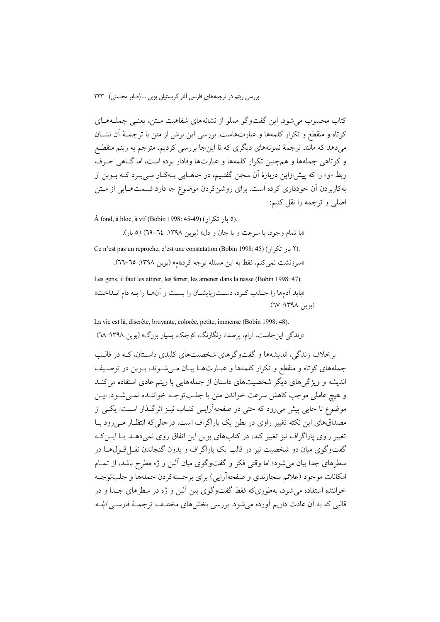بررسی ریتم در ترجمههای فارسی آثار کریستیان بوبن … (صابر محسنی) ۳۳۳

کتاب محسوب می شود. این گفتوگو مملو از نشانههای شفاهیت مـتن، یعنـی جملـههـای كوتاه و منقطع و تكرار كلمهها و عبارتهاست. بررسي اين برش از متن با ترجمـهٔ آن نشــان میدهد که مانند ترجمهٔ نمونههای دیگری که تا اینجا بررسی کردیم، مترجم به ریتم منقطـع و کوتاهی جملهها و همچنین تکرار کلمهها و عبارتها وفادار بوده است، اما گـاهی حـرف ربط «و» را که پیش(زاین دربارهٔ اَن سخن گفتـیم، در جاهـایی بـهکـار مـیبـرد کـه بـوبن از بهکاربردن آن خودداری کرده است. برای روشن کردن موضوع جا دارد قسمتهـایی از مـتن اصلي و ترجمه را نقل كنيم:

À fond, à bloc, à vif (Bobin 1998: 45-49) (٥ بار تكرار).

«با تمام وجود، با سرعت و با جان و دل» (بوبن ١٣٩٨: ٢٤–٦٩) (٥ بار).

Ce n'est pas un reproche, c'est une constatation (Bobin 1998: 45) (7 بار تكرار). «سرزنشت نمي كنم، فقط به اين مسئله توجه كردهام» (بوبن ١٣٩٨: ٦٥-٢٦).

Les gens, il faut les attirer, les ferrer, les amener dans la nasse (Bobin 1998: 47). «بايد أدمها را جـذب كـرد، دسـتوپايشـان را بسـت و أنهـا را بـه دام انـداخت»  $(\mu_{\nu}:NPY/\neg P)$ .

La vie est là, discrète, bruyante, colorée, petite, immense (Bobin 1998: 48).

«زندگی این جاست، آرام، برصدا، رنگارنگ، کوچک، بسیار بزرگ» (بوین ۱۳۹۸: ۷۸).

برخلاف زندگی، اندیشهها و گفتوگوهای شخصیتهای کلیدی داستان، کـه در قالـب جملههای کوتاه و منقطع و تکرار کلمهها و عبـارتهـا بيـان مـیشـوند، بـوبن در توصـيف اندیشه و ویژگیهای دیگر شخصیتهای داستان از جملههایی با ریتم عادی استفاده می کنـد و هيچ عاملي موجب كاهش سرعت خواندن متن يا جلبتوجـه خواننـده نمـي شـود. ايـن موضوع تا جایی پیش می رود که حتی در صفحهآرایسی کتـاب نیــز اثرگــذار اســت. یکــی از مصداقهای این نکته تغییر راوی در بطن یک پاراگراف است. درحالی که انتظـار مـی رود بــا تغییر راوی پاراگراف نیز تغییر کند، در کتابهای بوبن این اتفاق روی نمی دهـد یـا ایــن کــه گفتوگوی میان دو شخصیت نیز در قالب یک پاراگراف و بدون گنجاندن نقـل قــول۱هــا در سطرهای جدا بیان می شود؛ اما وقتی فکر و گفتوگوی میان آلبن و ژه مطرح باشد، از تمـام امکانات موجود (علائم سجاوندي و صفحهآرايي) براي برجستهکردن جملهها و جلبتوجـه خواننده استفاده می شود، بهطوریکه فقط گفتوگوی بین آلبن و ژه در سطرهای جــدا و در قالبی که به اّن عادت داریم اَورده می شود. بررسی بخش های مختلـف ترجمـهٔ فارســی *ابلــه*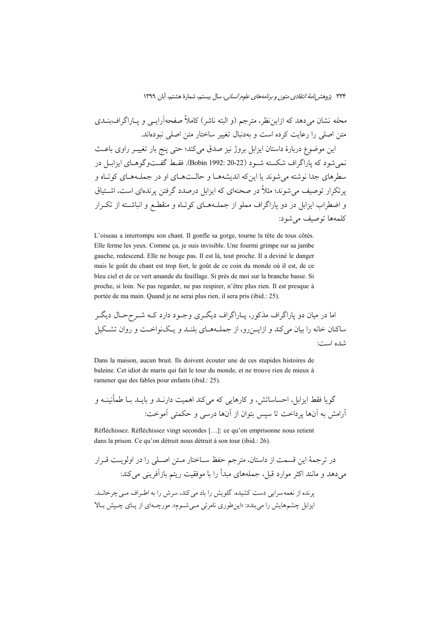مح*له* نشان میدهد که ازاین ظر، مترجم (و البته ناشر) کاملا صفحهارایــی و پــاراگراف بنــدی متن اصلی را رعایت کرده است و بهدنبال تغییر ساختار متن اصلی نبودهاند.

ین موضوع دربارهٔ داستان ایزابل بروژ نیز صدق میکند؛ حتی پنج بار تغییــر راوی باعــث نمیشود که پاراگراف شکسته شـود (22-20 :Bobin 1992). فقـط گفـتوگوهـای ایزابــل در سطرهای جدا نوشته میشوند یا اینکه اندیشههـا و حالـتهـای او در جملـههـای کوتـاه و پرتکرار توصیف میشوند؛ مثلا در صحنهای که ایزابل درصدد گرفتن پرندهای است، اشــتیاق و اضطراب ایزابل در دو پاراگراف مملو از جملـههـای کوتـاه و منقطـع و انباشــته از تکــرار كلمهها توصيف مي شود:

L'oiseau a interrompu son chant. Il gonfle sa gorge, tourne la tête de tous côtés. Elle ferme les yeux. Comme ça, je suis invisible. Une fourmi grimpe sur sa jambe gauche, redescend. Elle ne bouge pas. Il est là, tout proche. Il a deviné le danger mais le goût du chant est trop fort, le goût de ce coin du monde où il est, de ce bleu ciel et de ce vert amande du feuillage. Si près de moi sur la branche basse. Si proche, si loin. Ne pas regarder, ne pas respirer, n'être plus rien. Il est presque à portée de ma main. Quand je ne serai plus rien, il sera pris (ibid.: 25).

 #X z
#; Ü #6 # - #) #X } 9-#\$ @b } 9-\$ ) 
 - Q.#% )- ) 7#A' ?# ) &#5+ 
#! #+ # ) )-@ - &5 '
A 
5 :7 &6\*

Dans la maison, aucun bruit. Ils doivent écouter une de ces stupides histoires de baleine. Cet idiot de marin qui fait le tour du monde, et ne trouve rien de mieux à ramener que des fables pour enfants (ibid.: 25).

 ) #5'v 4 
# &# ) &#'- 7! &5 
!- ) f@ 

; @Q R Å- 
9 : 7A .; ) - 
! HI 
 7A \$ 
! f-

Réfléchissez. Réfléchissez vingt secondes […]: ce qu'on emprisonne nous retient dans la prison. Ce qu'on détruit nous détruit à son tour (ibid.: 26).

 - # 7#) - - +#( # -A
# ëD; @ 
 7 < - :&5 5 - - 7- &/í - 
!+ @ Q/ - i &5'
 ) &! . &#'
A S # } #4 - @&5 - f+9 .\*&% 7 Ä' \*&' \$ É
# fI#S 
#\$ #S- 8#6« . #{ 
' -4 - &5 :» f
!%S Q R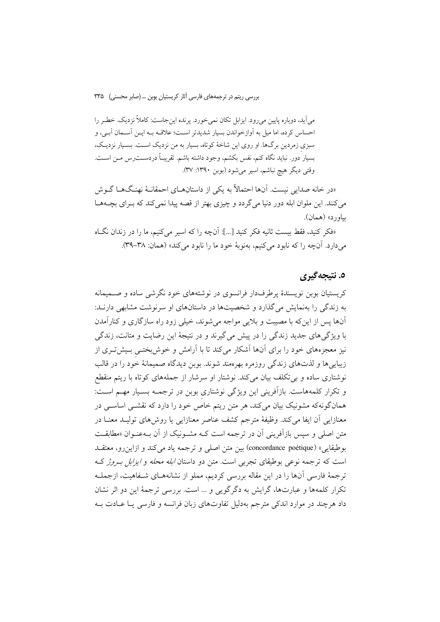می آید، دوباره پایین می رود. ایزایل تکان نمی خورد. پرنده این جاست: کاملاً نزدیک. خطیر را احساس كرده، اما ميل به آوازخواندن بسيار شديدتر است؛ علاقـه بـه ايـن آسـمان آبـي، و سبزی زمردین برگها. او روی این شاخهٔ کوتاه، بسیار به من نزدیک اسـت. بسـیار نزدیـک، بسيار دور. نبايد نگاه كنم، نفس بكشم، وجود داشته باشم. تقريبـاً دردســتـرس مــن اســت. وقتي ديگر هيچ نباشم، اسير مي شود (بوبن ١٣٩٠: ٣٧).

«در خانه صدایی نیست. آنها احتمالاً به یکی از داستانهــای احمقانــهٔ نهنـگهــا گــوش می کنند. این ملوان ابله دور دنیا می گردد و چیزی بهتر از قصه پیدا نمی کند که بـرای بچــههــا بياورد» (همان).

«فكر كنيد، فقط بيست ثانيه فكر كنيد […]: أنچه را كه اسير مي كنيم، ما را در زندان نگIه میدارد. آنچه را که نابود میکنیم، بهنوبهٔ خود ما را نابود می کند» (همان: ۳۸-۳۹).

## ٥. نتيجەگىرى

کریستیان بوبن نویسندهٔ پرطرفدار فرانسوی در نوشتههای خود نگرشی ساده و صـمیمانه به زندگی را بهنمایش می گذارد و شخصیتها در داستانهای او سرنوشت مشابهی دارنـد: آنها پس از این که با مصیت و پلایی مواجه می شوند، خیلی زود راه ساز گاری و کنار آمدن با ویژگیهای جدید زندگی را در پیش میگیرند و در نتیجهٔ این رضایت و متانت، زندگی نیز معجزههای خود را برای آنها آشکار میکند تا با آرامش و خوش بختـی بـیشتـری از زیبایی ها و لذتهای زندگی روزمره بهرهمند شوند. بوبن دیدگاه صمیمانهٔ خود را در قالب نوشتاری ساده و بی تکلف بیان میکند. نوشتار او سرشار از جملههای کوتاه با ریتم منقطع و تکرار کلمههاست. بازآفرینی این ویژگی نوشتاری بوبن در ترجمــه بســیار مهــم اســت: همانگونهکه مشونیک بیان میکند، هر متن ریتم خاص خود را دارد که نقشــی اساســی در معنازایی آن ایفا میکند. وظیفهٔ مترجم کشف عناصر معنازایی یا روشهای تولیـد معنــا در متن اصلی و سپس بازآفرینی آن در ترجمه است کـه مشـونیک از آن بـهعنـوان «مطابقـت بوطيقايي» (concordance poétique) بين متن اصلي و ترجمه ياد مي كند و ازاين رو، معتقــد است که ترجمه نوعی بوطیقای تجربی است. متن دو داستان *ابله محله و ایزابل به وژ* ک ترجمهٔ فارسی آنها را در این مقاله بررسی کردیم، مملو از نشانههـای شـفاهیت، ازجملـه تکرار کلمهها و عبارتها، گرایش به دگرگویی و … است. بررسی ترجمهٔ این دو اثر نشان داد هرچند در موارد اندکی مترجم بهدلیل تفاوتهای زبان فرانسه و فارسی یـا عــادت بــه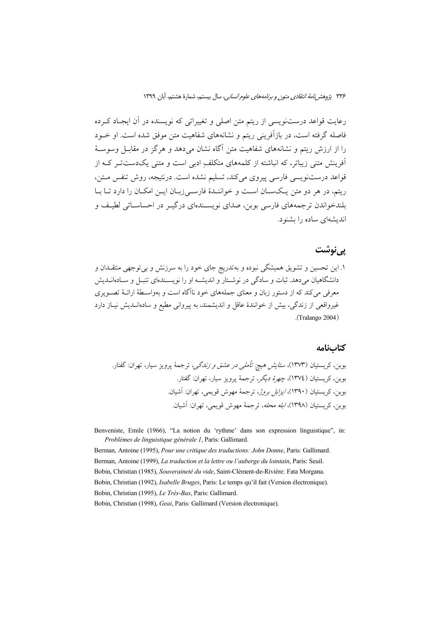رعایت قواعد درستنویسی از ریتم متن اصلی و تغییراتی که نویسنده در اَن ایجـاد کـرده فاصله گرفته است، در بازآفرینی ریتم و نشانههای شفاهیت متن موفق شده است. او خــود را از ارزش ریتم و نشانههای شفاهیت متن آگاه نشان می دهد و هرگز در مقابـل وسوسـهٔ آفرینش متنی زیباتر، که انباشته از کلمههای متکلف ادبی است و متنی یکدستت رکـه از قواعد درستنويسي فارسي ييروي مي كند، تسليم نشده است. درنتيجه، روش تنفس متن، ریتم، در هر دو متن یکسان است و خواننـدهٔ فارسـی زبـان ایـن امکـان را دارد تـا بـا بلندخواندن ترجمههای فارسی بوبن، صدای نویسـندهای درگیـر در احساسـاتی لطیـف و اندیشهای ساده را بشنود.

### یے نوشت

۱. این تحسین و تشویق همیشگی نبوده و بهتدریج جای خود را به سرزنش و بیتوجهی منتقــدان و دانشگاهیان می دهد. ثبات و سادگی در نوشـتار و اندیشـه او را نویسـندهای تنبـل و سـادهانــدیش معرفی می کند که از دستور زبان و معنای جملههای خود ناآگاه است و بهواسـطهٔ ارائــهٔ تصــویری غیرواقعی از زندگی، بیش از خوانندهٔ عاقل و اندیشمند، به پیروانی مطیع و سادهانــدیش نیــاز دارد  $(Tralango 2004)$ 

#### كتابنامه

Benveniste, Emile (1966), "La notion du 'rythme' dans son expression linguistique", in: Problèmes de linguistique générale 1, Paris: Gallimard.

Berman, Antoine (1995), Pour une critique des traductions: John Donne, Paris: Gallimard. Berman, Antoine (1999), La traduction et la lettre ou l'auberge du lointain, Paris: Seuil. Bobin, Christian (1985), Souveraineté du vide, Saint-Clément-de-Rivière: Fata Morgana. Bobin, Christian (1992), Isabelle Bruges, Paris: Le temps qu'il fait (Version électronique). Bobin, Christian (1995), Le Très-Bas, Paris: Gallimard. Bobin, Christian (1998), Geai, Paris: Gallimard (Version électronique).